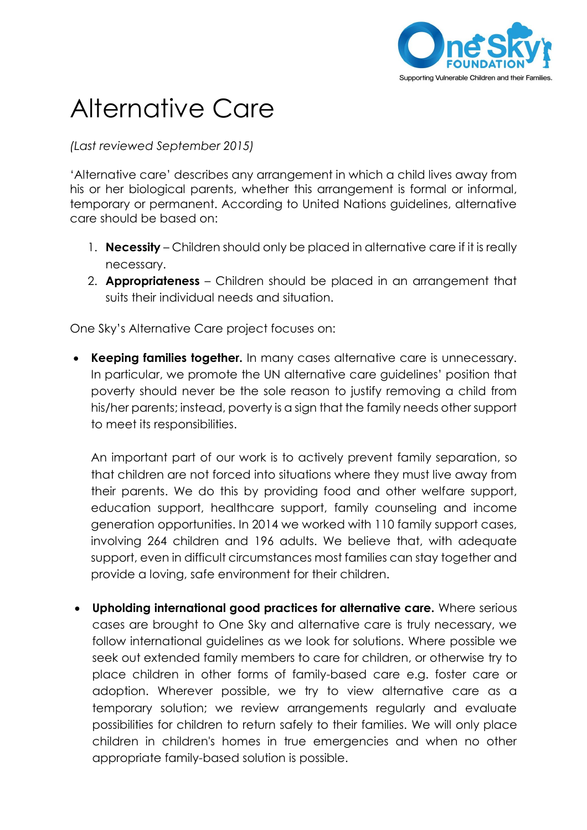

## Alternative Care

*(Last reviewed September 2015)*

'Alternative care' describes any arrangement in which a child lives away from his or her biological parents, whether this arrangement is formal or informal, temporary or permanent. According to United Nations guidelines, alternative care should be based on:

- 1. **Necessity** Children should only be placed in alternative care if it is really necessary.
- 2. **Appropriateness**  Children should be placed in an arrangement that suits their individual needs and situation.

One Sky's Alternative Care project focuses on:

 **Keeping families together.** In many cases alternative care is unnecessary. In particular, we promote the UN alternative care guidelines' position that poverty should never be the sole reason to justify removing a child from his/her parents; instead, poverty is a sign that the family needs other support to meet its responsibilities.

An important part of our work is to actively prevent family separation, so that children are not forced into situations where they must live away from their parents. We do this by providing food and other welfare support, education support, healthcare support, family counseling and income generation opportunities. In 2014 we worked with 110 family support cases, involving 264 children and 196 adults. We believe that, with adequate support, even in difficult circumstances most families can stay together and provide a loving, safe environment for their children.

 **Upholding international good practices for alternative care.** Where serious cases are brought to One Sky and alternative care is truly necessary, we follow international guidelines as we look for solutions. Where possible we seek out extended family members to care for children, or otherwise try to place children in other forms of family-based care e.g. foster care or adoption. Wherever possible, we try to view alternative care as a temporary solution; we review arrangements regularly and evaluate possibilities for children to return safely to their families. We will only place children in children's homes in true emergencies and when no other appropriate family-based solution is possible.